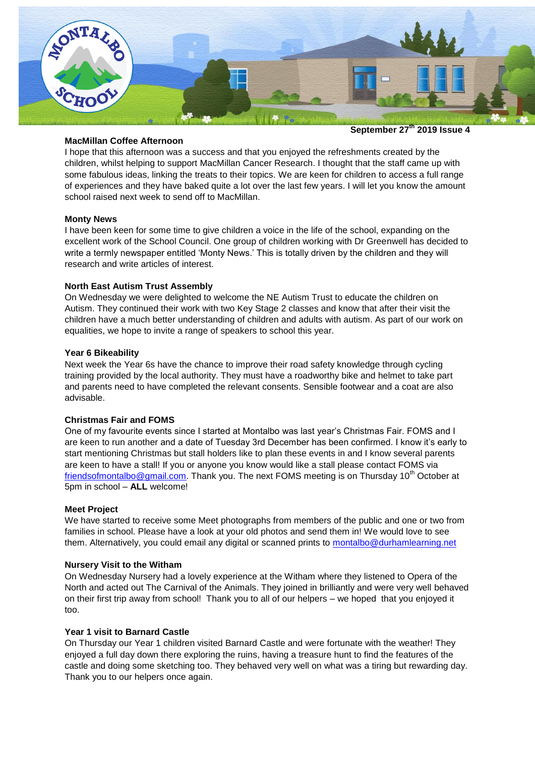

**September 27th 2019 Issue 4**

## **MacMillan Coffee Afternoon**

I hope that this afternoon was a success and that you enjoyed the refreshments created by the children, whilst helping to support MacMillan Cancer Research. I thought that the staff came up with some fabulous ideas, linking the treats to their topics. We are keen for children to access a full range of experiences and they have baked quite a lot over the last few years. I will let you know the amount school raised next week to send off to MacMillan.

#### **Monty News**

I have been keen for some time to give children a voice in the life of the school, expanding on the excellent work of the School Council. One group of children working with Dr Greenwell has decided to write a termly newspaper entitled 'Monty News.' This is totally driven by the children and they will research and write articles of interest.

## **North East Autism Trust Assembly**

On Wednesday we were delighted to welcome the NE Autism Trust to educate the children on Autism. They continued their work with two Key Stage 2 classes and know that after their visit the children have a much better understanding of children and adults with autism. As part of our work on equalities, we hope to invite a range of speakers to school this year.

## **Year 6 Bikeability**

Next week the Year 6s have the chance to improve their road safety knowledge through cycling training provided by the local authority. They must have a roadworthy bike and helmet to take part and parents need to have completed the relevant consents. Sensible footwear and a coat are also advisable.

# **Christmas Fair and FOMS**

One of my favourite events since I started at Montalbo was last year's Christmas Fair. FOMS and I are keen to run another and a date of Tuesday 3rd December has been confirmed. I know it's early to start mentioning Christmas but stall holders like to plan these events in and I know several parents are keen to have a stall! If you or anyone you know would like a stall please contact FOMS via [friendsofmontalbo@gmail.com.](mailto:friendsofmontalbo@gmail.com) Thank you. The next FOMS meeting is on Thursday 10<sup>th</sup> October at 5pm in school – **ALL** welcome!

#### **Meet Project**

We have started to receive some Meet photographs from members of the public and one or two from families in school. Please have a look at your old photos and send them in! We would love to see them. Alternatively, you could email any digital or scanned prints to [montalbo@durhamlearning.net](mailto:montalbo@durhamlearning.net)

#### **Nursery Visit to the Witham**

On Wednesday Nursery had a lovely experience at the Witham where they listened to Opera of the North and acted out The Carnival of the Animals. They joined in brilliantly and were very well behaved on their first trip away from school! Thank you to all of our helpers – we hoped that you enjoyed it too.

# **Year 1 visit to Barnard Castle**

On Thursday our Year 1 children visited Barnard Castle and were fortunate with the weather! They enjoyed a full day down there exploring the ruins, having a treasure hunt to find the features of the castle and doing some sketching too. They behaved very well on what was a tiring but rewarding day. Thank you to our helpers once again.